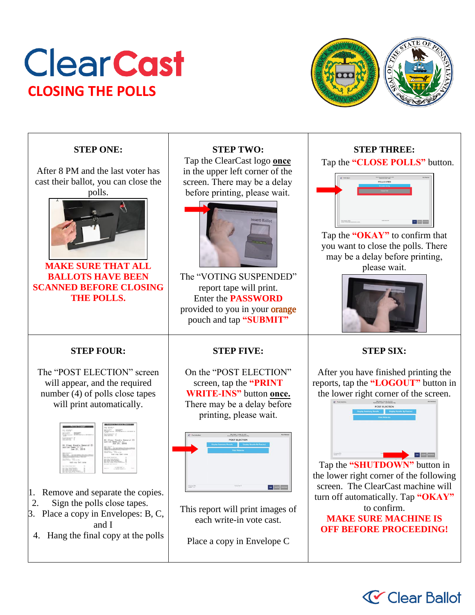# **Clear Cast CLOSING THE POLLS**